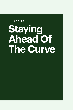# **CHAPTER 3**

# **Staying Ahead Of The Curve**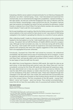Evaluating a febrile cancer patient is bread and butter for an Infectious Diseases (ID) physician, but when I started typing, I froze. I had interviewed and examined him mechanically, but as I entertained the diagnostic possibilities, I started trembling. A few days earlier, we had just confirmed Singapore's first case of infection with the virus from Wuhan. Unsurprisingly, it was a tourist from the city. The patient I had just seen had certainly not travelled, but what if he had, just before his admission, hosted friends or relatives from China? What if he had a family member who worked in the travel industry? I had to ask him more questions.

But he was breathless and coughing. Was this the Wuhan pneumonia? I looked at the cancer patients in the room and all my hairs stood on end. I saw visions of SGH being castigated in the media for spreading the infection to a roomful of cancer patients.

After collecting myself, I made my clinical recommendations on the computer and headed to the next patient on my list. I told myself that none of us in SGH had done wrong – the patient<sup>1</sup> did not fulfil the Ministry of Health's (MOH) criteria for a suspect case. Although we had not broken any rules, my mind was racing with all the what ifs. This time, I told myself, SGH would not experience intra-ward transmission. All patients with symptoms that were even vaguely suggestive of this novel infection had to be segregated till proven otherwise.

Fortuitously, I bumped into Chian Min<sup>2</sup> and voiced my concerns. He understood immediately. We discussed various ways of minimising the risk of contagion. A ward for patients with respiratory complaints would be a perfect solution. By luck, I also met Ghee Chee3 , and was also able to sell my ideas to him. If a ward could be found, he was happy to have his staff man the ward.

We called them Acute Respiratory Infection (ARI) wards. We made the rules as we went along. In that electrifying early period, every day, Ghee Chee and I met the consultants running the first three ARI wards and discussed all suspicious cases. We were determined not to miss any case of the novel coronavirus infection. We read the daily MOH press releases no matter what time they came out. We picked out the workplaces of the day's confirmed cases. These were relayed through text messages to the ARI staff. Every new cluster site mentioned was incorporated into the electronic medical record system so that frontline doctors would not miss these out in the contact history. The first consultants of the ARI wards – Leong Chai4, Melvin<sup>5</sup>, Jenny<sup>6</sup> and Yuyang<sup>7</sup> – were true heroes. They worked uncomplainingly in areas that did not have the usual safety nets of a purpose-built Isolation Ward (IW).

#### **TAN BAN HOCK**

Senior Consultant, Department of Infectious Diseases

<sup>&</sup>lt;sup>1</sup> This patient was eventually confirmed not to have COVID-19.

<sup>2</sup> Dr Loo Chian Min, Chairman, Division of Medicine and Senior Consultant, Department of Respiratory and Critical Care Medicine.

<sup>&</sup>lt;sup>3</sup> Dr Phua Ghee Chee, Head and Senior Consultant, Department of Respiratory and Critical Care Medicine.

<sup>4</sup> Dr Leow Leong Chai, Senior Consultant, Department of Respiratory and Critical Care Medicine.

<sup>5</sup> Dr Melvin Tay, Senior Consultant, Department of Respiratory and Critical Care Medicine.

<sup>6</sup> Dr Jenny Hsieh, Associate Consultant, Department of Internal Medicine.

<sup>&</sup>lt;sup>7</sup> Dr Tan Yuyang, Consultant, Department of Internal Medicine.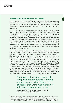## **SHADOW-BOXING AN UNKNOWN ENEMY**

News of the horrifying extent of the outbreak from Wuhan filtered through to us from multiple sources, but what stuck in my mind were personal stories and terrible experiences from frontline workers in China describing the severity of the outbreak and the toll it had taken on them physically and mentally.

We read constantly to try and keep up with the barrage of news and literature updates as it was crucial for our job. We had to know where the latest hotspots were, what occupations were now more at risk, which nationalities were more likely to be affected, and update our daily historytaking template accordingly. We had to know what the latest research was showing. Was the virus airborne? How long did it survive on surfaces? Could we risk-stratify patients based on biomarkers? The daily sharing sessions led by senior ID physicians were instrumental in distilling and spreading information to our teams. We then modified our workflow accordingly. If it didn't work well, we tried something else. It was both refreshing and exhilarating at the same time.

Whatever concerns or fears that I had at the beginning were put to rest once the actual work started on the ARI wards. I knew that I had a good team of junior staff. The young doctors worked extremely hard to cope with the high daily numbers of admissions and discharges that came through the ARI wards. They looked out for each other all the time, from making sure that everyone's Personal Protective Equipment (PPE) was put on properly to checking that swabs were taken in a safe and timely manner to meet the tight timelines. This was crucial for ensuring that beds were freed up for the new admissions<sup>8</sup>. The juniors covered each other constantly, for meals, breaks and calls. We joked to keep our spirits buoyant and to distract from what was happening to frontline healthcare workers in Wuhan. The enthusiasm, commitment and competence that they demonstrated, in responding to this unknown and potentially deadly situation, really impressed me and made me feel silly for having had doubts and fears.

> There was not a single murmur of complaint or unhappiness from the young doctors. In fact, it was the opposite; they were even fighting to volunteer when the need arose.

Leow Leong Chai, Senior Consultant, Department of Respiratory and Critical Care Medicine

<sup>&</sup>lt;sup>8</sup> Patients were discharged from the ARI wards only after they had tested negative for the virus at least twice. Reports indicated that people presenting very early in the illness might not yield positive swab results, so the swabs had to be done on different days, and the interval between swabs varied depending on the clinical presentation.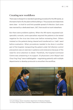# **Creating new workflows**

There was no blueprint or standard operating procedure for the ARI wards, so the teams had to fly the plane while building it. The purpose and objectives were clear – to look for and limit possible spread of infection. Each zone was manned by a dedicated team, 24/7, that would not work elsewhere.

But there were problems aplenty. When the ARI teams requested subspeciality consults, some specialists required the patients to be tested negative for the virus two times over before reviewing them. Others insisted on the patients being cleared and transferred to a "safe" ward before evaluation. When procedures needed to be done in another part of the hospital, transporting the patient under full infection control precautions was an exercise in patience and endurance because of the need for strict attention to detail. Thankfully, the hospital Command Centre was unwavering in its support. ID physicians Limin Wijaya<sup>9</sup> and Chua Ying Ying10 were indefatigable – negotiating patiently with multiple departments to develop protocols to smoothen the workflow.



<sup>9</sup> Dr Limin Wijaya, Senior Consultant, Department of Infectious Diseases.

<sup>&</sup>lt;sup>10</sup> Dr Chua Ying Ying, Senior Consultant, Department of Infectious Diseases.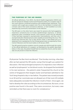#### **THE PURPOSE OF THE ARI WARDS**

All official definitions, from MOH, the World Health Organisation (WHO) and the US Centres for Disease Control and Prevention (CDC), for a suspect case of the novel infection combined symptoms with epidemiologic exposures. Thus a person with cough was a suspect only if he or she had been in contact with a known case of the novel coronavirus infection, or had travelled to an area experiencing community transmission of the infection.

The ARI ward, on the other hand, was meant for persons who had suggestive respiratory symptoms but no known epidemiologic exposure, or whose exposures were considered remote. Such persons could only be infected if they had been exposed to asymptomatic intermediaries, and then only if asymptomatically infected persons were capable of transmitting the virus. This would soon become fact, but in late January 2020, it was based only on a statement from a spokesman for the Chinese government, as reported by China Central Television and the local media on 26 January 2020.

The ARI wards formed an isolation zone for people who fell through the cracks of the official definitions of a suspect, as illustrated by the patient described below. In this case, the patient herself had not visited the church, and her sister was not yet proven to have the infection.

ID physician Tan Ban Hock recollected. "One Sunday morning, a few days after we had opened the ARI wards, Leong Chai brought up a patient for discussion. She had prolonged symptoms of a respiratory tract infection as well as lymphopenia<sup>11</sup> on the blood counts. He dropped the bombshell in his next sentence – the patient's sister frequented the church at the centre of Singapore's then-largest cluster and had been admitted to Tan Tock Seng Hospital a day or two before. The patient was moved promptly to an IW and her roommate was not allowed out of that room till multiple tests adequately excluded the infection in both of them. Once again, we had to develop the rules according to the circumstances. But soon, a true positive was found in the ward. They were uncommon, but every case reminded us that there was no room for complacency."

<sup>11</sup> A deficiency of lymphocytes, a type of white blood cell. Lymphopenia was recognised as a feature of the novel infection very early on. Lymphopenia is not unique to COVID-19, but in the correct setting, it is a clue to the diagnosis.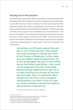# **Staying true to the purpose**

As worries about unwittingly missing a case grew, more and more patients were admitted to ARI wards and the number of wards had to be expanded. In each ARI ward, the number of beds per cubicle was reduced and this impacted hospital bed capacity. Designating a new ward as an ARI ward meant complex logistics and administrative challenges. The ARI proponents received untiring support from a steadfast team of administrators – the unseen and unheard – who oiled a growing machine that had sprung from the scars of SGH's painful experience with SARS. This backroom team became the Division of Medicine's Preparedness and Response capability – Ratna binte Abdul Rahman<sup>12</sup>, Grace Kwek<sup>13</sup>, Ang Yilin<sup>14</sup>, Ho Wanqi<sup>15</sup> and Tan Shuxian16.

> Sometimes, an ARI ward opened the next day or on a Friday evening. There would be a mad scramble to change the roster of the Division of Medicine. Luckily, every time we called a Head of Department, he or she would agree. We had to know which doctor had failed mask-fitting – they could not be assigned to the IW or ARI wards. Because things happened very fast, all of us were checking our phones all the time, day and night, even on weekends. Many people may not think much of medical administrators, but after COVID-19, even our family members realised that medical administrators mattered too.

Ang Yilin, Senior Executive, Division of Medicine

<sup>&</sup>lt;sup>12</sup> Ratna binte Abdul Rahman, Senior Manager, Division of Medicine.

<sup>&</sup>lt;sup>13</sup> Grace Kwek, Senior Executive, Division of Medicine.

<sup>14</sup> Ang Yi Lin, Senior Executive, Division of Medicine.

<sup>15</sup> Ho Wan Qi, Healthcare Management Executive.

<sup>&</sup>lt;sup>16</sup> Tan Shu Xian, Senior Executive, Division of Medicine.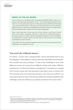#### **IMPACT OF THE ARI WARDS**

From 5 February to 18 March 2020, 446 patients fulfilled MOH's criteria for a suspect case and were admitted to our IW – 15 of these tested positive for the novel virus. During the same period, 1,178 patients were admitted to ARI wards – five were tested positive. Although the yield appeared low, SGH stalwarts (SARS veterans in particular) recognised the positive impact of the ARI wards. We had prevented five clusters from forming in Singapore.

What could have been worse was that those clusters could have formed within SGH wards, spreading infection to staff and to vulnerable patients. The repercussions on staff morale and hospital reputation were unthinkable. The destination, though clearly not final, was (in the words of an old song) nevertheless worth the while.

These data from the statistical analyses performed by the ARI pioneers were published in an academic journal<sup>17</sup>.

# **You can't do without nurses**

As always, nurses were indispensable. Nurse Nanthakumahrie d/o Gunasegaran18 was tasked to convert and man ward 65B as an ARI ward. She recalled the early problems. "It was a real challenge to work with different nurses, all coming from different wards, with vastly different experiences in infectious disease management. The spectrum ranged from novice nurses who had worked for less than a year, to those from the neonatal units and operating theatres, who had not worked in an acute adult ward for years. Not having healthcare assistants added to the challenge. Everyone rolled up our sleeves and learnt from each other."

<sup>&</sup>lt;sup>17</sup> Wee LE et al. Respiratory surveillance wards as a strategy to reduce nosocomial transmission of COVID-19 through early detection: the experience of a tertiary-care hospital in Singapore. Infect Control Hosp Epidemiol 2020;41:820.

<sup>&</sup>lt;sup>18</sup> Nanthakumahrie d/o Gunasegaran, Nurse Clinician, Nursing Research.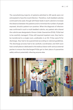The overwhelming majority of patients admitted to ARI wards were not anticipated to have the novel infection. Therefore, multi-bedded cubicles continued to be used, though with fewer beds in each cubicle to increase the distance between the patients and to minimise the number of people exposed, should a patient turn positive. When the diagnosis of infection was confirmed in such a multi-bedded cubicle, any patient who shared the cubicle was designated a Person Under Quarantine (PUQ). PUQs had to be carefully managed. If they still required inpatient care, they had to be transferred to a single room, preferably in an IW. If they were fit for discharge, they had to be quarantined according to national guidelines. The discharge process had to be carefully coordinated, and SGH soon had a small platoon dedicated to the tedious liaison with various external parties to ensure that discharged PUQs got to their place of quarantine safely without potentially infecting anyone else.

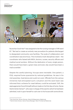

Nurse Kan Sook Han19 was assigned to be the nursing manager of ARI ward 67. "We had to create an entirely new procedure for patients discharged to designated community care facilities. The scale of collaboration and coordination was enormous. This involved a multi-disciplinary team – the coordinator who liaised with MOH, doctors, nurses, security officers and medical social workers. Without the dedication of every single person, there would have been a great mess and every day would have been a mad scramble."

Despite the careful planning, hiccups were inevitable. One patient, a PUQ, required home quarantine by national guidelines. He was in his mid-seventies, lived alone and could not cook. Officials from the various ministries had anticipated such a situation and the ward team was informed that a scheme for meal delivery could be activated. Still, the septuagenarian found himself without meals on his first day at home. Nurse Hartini binte Osman<sup>20</sup>, who was in charge of the ward to which he had been admitted, took it upon herself to rush over to his house with some dinner.

<sup>19</sup> Kan Sook Han, Nurse Clinician, Ward 45 (Respiratory Medicine).

<sup>20</sup>Hartini binte Osman, Senior Nurse Manager, Ward 73 (Internal Medicine).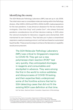# **Identifying the enemy**

The SGH Molecular Pathology Laboratory (MPL) was set up in July 2006. The initial vision was to consolidate molecular testing within the Pathology division. After SARS in 2003 and H1N1 in 2009, the MPL made preparations for the next pandemic. It was almost an obsession for the two molecular virologists, Chan Kian Sing<sup>21</sup> and Lynette Oon<sup>22</sup>, who always factored pandemic considerations into all their decision-making. In 2019, when the national stockpiles for laboratory reagents were dismantled, SGH maintained its own inventory. They had also put in place a streamlined respiratory swab processing protocol, and had purchased an automated liquid handler. These proactive steps to enhance the laboratory's capability would prove prescient.

> The SGH Molecular Pathology Laboratory (MPL) was critical to Singapore's response to COVID-19. They got out a new polymerase chain reaction (PCR)<sup>23</sup> test very quickly; they anticipated shortages in reagents and consumables and stockpiled in advance. They were among the first in the world to notice subtleties and idiosyncrasies of COVID-19 testing, and their expertise likely underpinned some of the frontline actions that led to SGH detecting cases that did not fit the existing MOH case definition at that time.

> Koh Tse Hsien, Head and Senior Consultant, Department of Microbiology

<sup>&</sup>lt;sup>21</sup> Dr Chan Kian Sing, Senior Consultant, Department of Molecular Pathology.

<sup>&</sup>lt;sup>22</sup> Dr Lynette Oon, Head and Senior Consultant, Department of Molecular Pathology.

 $23$  PCR tests detect the genetic material (nucleic acid) of micro-organisms and are generally considered the best test for picking up small quantities of micro-organisms.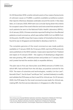On 30 December 2019, Lynette noticed a post on four cases of pneumonia of unknown cause on ProMED, a publicly available surveillance system that reports infectious diseases outbreaks around the world. A few days later, on 2 January 2020, MOH sent out a circular laying down the criteria for a suspect case of the novel infection and instructed that samples from such patients be sent to the National Public Health Laboratory (NPHL). On 8 January 2020, Chinese scientists reported finding from the affected patients a novel coronavirus, which was neither SARS-CoV nor MERS-CoV. At this point, the MPL knew that it was a matter of time before the the virus found its way to Singapore and decided to develop a test for it.

The complete genome of the novel coronavirus was made publicly available on 11 January 2020. By 13 January 2020, real-time PCR protocols were published on the WHO website. Cases were reported from Thailand and Japan on 15 January 2020 – the urgency of developing a diagnostic test was growing. MPL ordered primers and probes on 17 January 2020 and Lynette harried the vendors daily to expedite delivery.

The plan was to first use ribonucleic acid (RNA) extracts of SARS-CoV, which MPL had archived from the old days, as positive controls for the PCR. The team of scientists and technologists, notably Lim Kun Lee<sup>24</sup>, Kenneth Chan<sup>25</sup>, Yau Ee Xuan<sup>26</sup> and Bryan Tan<sup>27</sup>, worked tirelessly to modify and validate the PCR assay so that it was fit for clinical use. On 23 January 2020, the PCR assay for the novel coronavirus was ready for clinical use, making MPL the first service laboratory in Singapore to offer this test.

<sup>&</sup>lt;sup>24</sup>Dr Lim Kun Lee, Principal Medical Laboratory Scientist, Department of Molecular Pathology.

<sup>&</sup>lt;sup>25</sup> Kenneth Chan, Medical Laboratory Scientist, Department of Molecular Pathology.

<sup>26</sup> Yau Ee Xuan, Medical Laboratory Scientist, Department of Molecular Pathology.

<sup>27</sup> Bryan Tan, Medical Laboratory Technologist, Department of Molecular Pathology.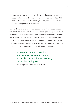The new test proved itself the very day it was first used – by detecting Singapore's first case. The result came out at 2:30pm, and the NPHL confirmed the accuracy of the result by 6:00pm, with the news released by MOH to Singapore the same evening.

A senior ID physician shared his pride in the MPL. "One day, as I discussed the results of various viral PCRs while rounding on transplant patients, the medical officer asked me how I had managed patients in the primitive 1990s when all these tests were not available. We have indeed come a long way. I can look at international colleagues in the eye, because we in SGH have personal experience with the CMV, EBV and BKV PCRs<sup>28</sup>, and many more. We are familiar with their utility and limitations."

# If we are a first-class hospital, it is because we have a first-class Molecular Lab and forward-looking molecular virologists.

Tan Ban Hock, Senior Consultant, Department of Infectious Diseases

 $28$  Cytomegalovirus, Epstein-Barr Virus and BKV, which is a virus from the polyomavirus family.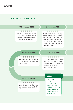## **RACE TO DEVELOP A PCR TEST**

#### **30 December 2019**

## . . . . . .

ProMED post on four cases of pneumonia of unknown cause in Wuhan noticed by SGH molecular virologist.

#### **2 January 2020**

# **. . . . . . .**

MOH sent circular laying down criteria for a suspect case of the novel infection and instructed that samples from such patients be sent to the National Public Health Laboratory (NPHL).

#### **20 January 2020**

MPL modified and validated the PCR assay to be fit for clinical use.

. . . . . .

#### **17 January 2020**

**. . . . . . .** 

SGH MPL ordered primers and probes. For positive controls, MPL planned to use RNA extracts of SARS-CoV from their archives.

#### **23 January 2020**

## . . . . . .

The PCR assay for the novel coronavirus was ready for clinical use.

## **2:30pm**

In its maiden run, the new test detected Singapore's first case of COVID-19, a patient from China admitted to SGH the day before.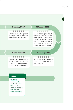#### **8 January 2020**

Chinese scientists reported finding a novel coronavirus from the affected patients.

. . . . . .

#### **11 January 2020**

**......** 

The complete genome of the novel coronavirus was made publicly available by Chinese scientists. It had about 80% genetic similarity with SARS-CoV which caused the SARS outbreak.

#### **15 January 2020**

#### **13 January 2020**

**......** 

 $\blacksquare$ 

Cases were reported in Thailand and Japan. The urgency of developing a diagnostic test was growing.

Real-time PCR protocols were published on the WHO website.

#### **6:00pm**

The NPHL confirmed the result of the SGH test, and MOH released the news to Singapore the same evening.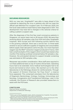## **SECURING RESOURCES**

With our new test, SingHealth<sup>29</sup> was able to keep ahead of the outbreak by detecting the virus in patients who did not meet the official case definition for a suspect case. On 4 February 2020, the first local cases (without travel history) were diagnosed in SGH. This development may have led to changes in the national criteria for calling a patient a suspect case.

After the diagnoses of the first few novel coronavirus patients in Singapore, our senior team met on 28 January 2020. We were then receiving about 40 samples a day from SGH and other SingHealth hospitals. With Europe and USA following quickly behind Asia in the growing outbreak, there was a narrow two- to three-week window to secure sufficient supplies of reagents and consumables before supply chain disruptions came into play. Our most important reagent was the RNA<sup>30</sup> extraction reagent produced in France. SGH had a small stockpile of this reagent which would have lasted a few months if the testing workload remained below 50 samples a day. However, the anticipated demand to support broader screening was estimated at 300 samples a day.

Manpower was another consideration. More staff were required to run these additional tests on top of routine clinical tests. Operating hours had to be extended. Extra medical technologists had to be found and trained at short notice. We reached out to the other laboratories in the Pathology division for reinforcements. Through the support of Division Chairman Tan Puay Hoon<sup>31</sup>, a reserve force appeared. This comprised volunteers from the laboratories of Diagnostic Bacteriology, Virology, Cytology, Immunology and Serology, Cytogenetics and Translational Pathology. Later in the outbreak, the Division of Research also provided researchers to assist with the PCR tests.

#### **LYNETTE OON**

Head and Senior Consultant, Department of Molecular Pathology

<sup>&</sup>lt;sup>29</sup> SGH is part of the SingHealth cluster, which comprises four hospitals, five specialty centres, community hospitals and a chain of polyclinics.

<sup>30</sup>Ribonucleic acid is the genetic material of the coronavirus. Purity and amount of the RNA extracted affect the performance of the downstream PCR tests.

<sup>&</sup>lt;sup>31</sup> Dr Tan Puay Hoon, Chairman, Division of Pathology.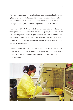More space, preferably on another floor, was needed to implement the split team system so that a second team could continue doing the testing if the first team was stricken by the virus and had to be quarantined. A Virology laboratory was eventually repurposed to run PCR tests.

In early March 2020, MOH mandated further increases in national laboratory testing capacity and asked SGH to double its capacity to 600 samples per day. To manage the increase in specimens, SGH placed an order for three automated nucleic acid extractors but Germany then banned exports of all their extractors and restricted the use of the critical RNA extraction reagent to only Europe.

Kian Sing expressed his worries. "We realised there wasn't any stockpile of the reagent. They were running so low that it was scary how many days of stock were left – nine days. There was now no point getting the new extractors."

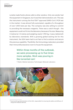Lynette made frantic phone calls to other vendors. Only one vendor had the equipment in Singapore, but it was their demonstration unit. This was the instrument running the first FDA<sup>32</sup> approved SARS-CoV-2 PCR test in the market. It was almost fully automated, capable of a throughput of over 1,000 tests per day. The company was also willing to commit to providing the necessary reagents. There was a catch though – the equipment could not fit into the laboratory because of its size. Measuring 3 metres by 1.3 metres and weighing nearly 1,700 kg, it was a behemoth by laboratory standards. With a growing global waiting list for this instrument, the SGH team had to act fast to find a solution and secure this precious capability. Thankfully, the Immunology Laboratory provided their Immunofluorescence room to house the equipment.

# Within three months of the outbreak, we were processing up to five times more samples. Work was pouring in like torrential rain!

T Shalini, Medical Laboratory Technologist, Molecular Laboratory



<sup>&</sup>lt;sup>32</sup> Food and Drug Administration of the USA, responsible for ensuring the safety and efficacy of drugs and medical devices.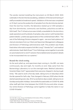The vendor started installing the instrument on 30 March 2020. With outbreaks in the dormitories escalating, validation of the test and training of staff proceeded at breakneck speed. Validation of the test was completed on 10 April, just as the avalanche of samples from the dormitories started. Over the next four months, the laboratory tested up to 1,100 samples a day from dormitories, community care facilities, polyclinics as well as SGH itself. The IT infrastructure was initially unavailable for the dormitory swab operations and hundreds of samples a day came in with handwritten patient details. Lynette was appreciative of the combined team effort. "The rest of the Pathology Division stepped in again – we soon had a platoon of clerical volunteers from our Client and Specimen Management colleagues and Division of Pathology administrative staff. This problem was finally fixed when informatics experts Goh Min Liong<sup>33</sup>, Pamela Tan<sup>34</sup>, and medical administrator Seah Waih Khuen<sup>35</sup> from Pathology came together to provide an automated end-to-end IT solution that enabled external patient details to be incorporated into our systems."

## **Round-the-clock testing**

As the work piled up, and specimens kept coming in, the MPL ran tests continuously, day and night, for months on end. Help came from the Bacteriology Laboratory to run the overnight tests. Medical Laboratory Scientist Eileen Goh<sup>36</sup> appreciated that everyone chipped in during tough times. "We used to work a five-day week, taking turns on Saturdays when the lab opened for half a day. That changed in February 2020 when the lab started operating every day. All of us worked six days a week, taking turns on Sundays and public holidays. Some shifts focused solely on COVID-19, while other staff split their time between the COVID-19 virus and other viruses. Our entire Division of Pathology came together to help the nation in our COVID-19 battle."

<sup>33</sup> Dr Goh Min Liong, Group Chief Medical Informatics Officer, SingHealth.

<sup>34</sup>Pamela Tan, Assistant Director, IT.

<sup>35</sup>Seah Waih Khuen, Senior Manager, Division of Pathology.

<sup>36</sup>Eileen Goh, Medical Laboratory Scientist, Molecular Laboratory.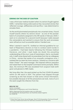## **ERRING ON THE SIDE OF CAUTION**

I was a third-year medical student when my seniors fought against SARS. I remember being wide-eyed as they recounted stories that reflected courage, selflessness and sacrifice. I was determined to emulate them.

As the world plummeted precipitously into uncertain times, I found myself exactly where my seniors stood – as one of the pioneer batch of consultants assigned to the ARI wards in February 2020. I went on to volunteer for a second month because I really enjoyed the camaraderie and wanted to ensure that the work processes were refined as much as possible before I handed over.

When I started in ward 75, I drafted an informal guideline for our team of Respiratory doctors on how to conduct ward rounds in a pandemic. I had been keenly following the Chinese medical literature, and what I read made me doubt the prevailing understanding of the virus' route of transmission, that is, via droplet only. A staff nurse shared with me anecdotes from her ex-colleagues in China – stories that spoke of an unusually contagious virus. I insisted that my team be more cautious. I shared our concerns with Sister Chiew<sup>37</sup>, the ward manager. She listened without prejudice and raised them to the hospital Command Centre promptly. Within days, the minimum PPE was escalated from surgical mask (with gown and gloves) to N95 masks.

Not long after that, the ward picked up the first COVID-19 patient within an ARI ward in SGH. The patient had slipped through screening as she had chosen to hide some critical information, but possibly because of all the precautions we took, none of us in the ward caught the infection from her.

#### **MELVIN TAY**

Senior Consultant, Department of Respiratory and Critical Medicine

*Melvin diagnosed the first positive case in an ARI ward. He subsequently developed fever, but thankfully tested negative for COVID-19.*

<sup>37</sup> Chiew Siew Fong, Senior Nurse Manager, Ward 75 (Orthopaedics). She found herself running a medical ward when her ward was converted into an ARI ward.